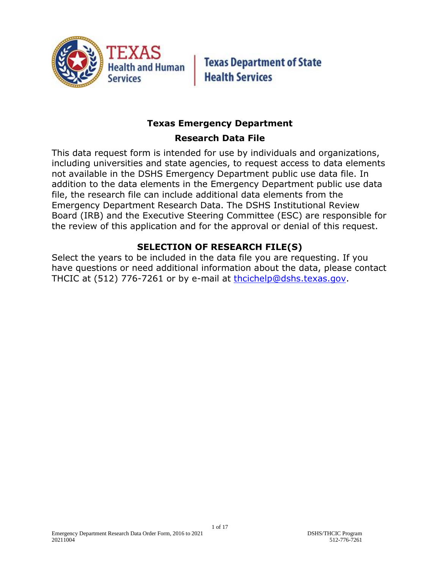

**Texas Department of State Health Services** 

# **Texas Emergency Department**

# **Research Data File**

This data request form is intended for use by individuals and organizations, including universities and state agencies, to request access to data elements not available in the DSHS Emergency Department public use data file. In addition to the data elements in the Emergency Department public use data file, the research file can include additional data elements from the Emergency Department Research Data. The DSHS Institutional Review Board (IRB) and the Executive Steering Committee (ESC) are responsible for the review of this application and for the approval or denial of this request.

# **SELECTION OF RESEARCH FILE(S)**

Select the years to be included in the data file you are requesting. If you have questions or need additional information about the data, please contact THCIC at (512) 776-7261 or by e-mail at [thcichelp@dshs.texas.gov.](mailto:thcichelp@dshs.texas.gov)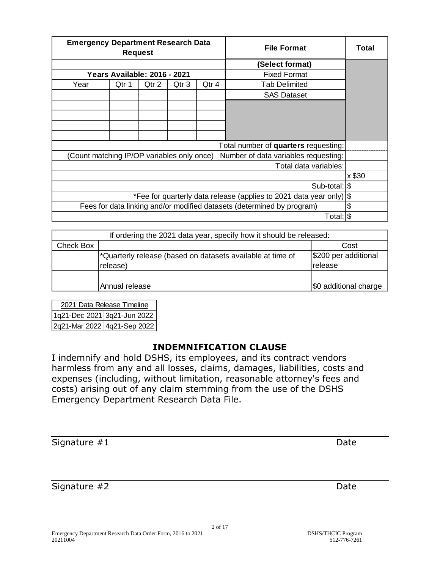| <b>Emergency Department Research Data</b><br><b>Request</b>                        |                              |       | <b>File Format</b> | Total |                      |  |
|------------------------------------------------------------------------------------|------------------------------|-------|--------------------|-------|----------------------|--|
|                                                                                    |                              |       |                    |       | (Select format)      |  |
|                                                                                    | Years Available: 2016 - 2021 |       |                    |       | <b>Fixed Format</b>  |  |
| Year                                                                               | Qtr 1                        | Qtr 2 | Qtr 3              | Qtr 4 | <b>Tab Delimited</b> |  |
|                                                                                    |                              |       |                    |       | <b>SAS Dataset</b>   |  |
|                                                                                    |                              |       |                    |       |                      |  |
|                                                                                    |                              |       |                    |       |                      |  |
|                                                                                    |                              |       |                    |       |                      |  |
|                                                                                    |                              |       |                    |       |                      |  |
| Total number of quarters requesting:                                               |                              |       |                    |       |                      |  |
| (Count matching IP/OP variables only once)<br>Number of data variables requesting: |                              |       |                    |       |                      |  |
| Total data variables:                                                              |                              |       |                    |       |                      |  |
|                                                                                    |                              |       |                    |       | x \$30               |  |
| Sub-total: \\$                                                                     |                              |       |                    |       |                      |  |
| *Fee for quarterly data release (applies to 2021 data year only) \\$               |                              |       |                    |       |                      |  |
| Fees for data linking and/or modified datasets (determined by program)             |                              |       |                    |       | \$                   |  |
|                                                                                    |                              |       |                    |       | Total: S             |  |

| If ordering the 2021 data year, specify how it should be released: |                                                                        |                       |  |  |
|--------------------------------------------------------------------|------------------------------------------------------------------------|-----------------------|--|--|
| Check Box                                                          |                                                                        | Cost                  |  |  |
|                                                                    | <sup>*</sup> Quarterly release (based on datasets available at time of | \$200 per additional  |  |  |
|                                                                    | release)                                                               | release               |  |  |
|                                                                    |                                                                        |                       |  |  |
|                                                                    | Annual release                                                         | \$0 additional charge |  |  |

1q21-Dec 2021 3q21-Jun 2022 2q21-Mar 2022 4q21-Sep 2022 2021 Data Release Timeline

#### **INDEMNIFICATION CLAUSE**

I indemnify and hold DSHS, its employees, and its contract vendors harmless from any and all losses, claims, damages, liabilities, costs and expenses (including, without limitation, reasonable attorney's fees and costs) arising out of any claim stemming from the use of the DSHS Emergency Department Research Data File.

Signature #1 Date

Signature #2 Date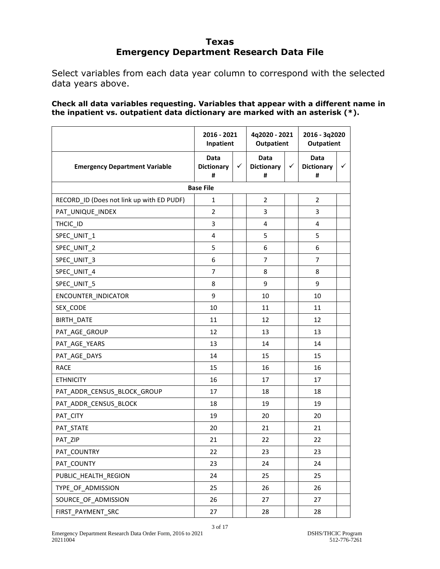#### **Texas Emergency Department Research Data File**

Select variables from each data year column to correspond with the selected data years above.

**Check all data variables requesting. Variables that appear with a different name in the inpatient vs. outpatient data dictionary are marked with an asterisk (\*).**

|                                           | 2016 - 2021<br>Inpatient              |   | 4q2020 - 2021<br><b>Outpatient</b>    |   | 2016 - 3q2020<br><b>Outpatient</b> |   |
|-------------------------------------------|---------------------------------------|---|---------------------------------------|---|------------------------------------|---|
| <b>Emergency Department Variable</b>      | <b>Data</b><br><b>Dictionary</b><br># | ✓ | <b>Data</b><br><b>Dictionary</b><br># | ✓ | Data<br><b>Dictionary</b><br>#     | ✓ |
|                                           | <b>Base File</b>                      |   |                                       |   |                                    |   |
| RECORD_ID (Does not link up with ED PUDF) | 1                                     |   | $\overline{2}$                        |   | $\overline{2}$                     |   |
| PAT_UNIQUE_INDEX                          | $\overline{2}$                        |   | 3                                     |   | 3                                  |   |
| THCIC_ID                                  | 3                                     |   | 4                                     |   | 4                                  |   |
| SPEC_UNIT_1                               | 4                                     |   | 5                                     |   | 5                                  |   |
| SPEC_UNIT_2                               | 5                                     |   | 6                                     |   | 6                                  |   |
| SPEC_UNIT_3                               | 6                                     |   | $\overline{7}$                        |   | $\overline{7}$                     |   |
| SPEC UNIT 4                               | $\overline{7}$                        |   | 8                                     |   | 8                                  |   |
| SPEC_UNIT_5                               | 8                                     |   | 9                                     |   | 9                                  |   |
| ENCOUNTER_INDICATOR                       | 9                                     |   | 10                                    |   | 10                                 |   |
| SEX_CODE                                  | 10                                    |   | 11                                    |   | 11                                 |   |
| BIRTH_DATE                                | 11                                    |   | 12                                    |   | 12                                 |   |
| PAT_AGE_GROUP                             | 12                                    |   | 13                                    |   | 13                                 |   |
| PAT AGE YEARS                             | 13                                    |   | 14                                    |   | 14                                 |   |
| PAT_AGE_DAYS                              | 14                                    |   | 15                                    |   | 15                                 |   |
| <b>RACE</b>                               | 15                                    |   | 16                                    |   | 16                                 |   |
| <b>ETHNICITY</b>                          | 16                                    |   | 17                                    |   | 17                                 |   |
| PAT_ADDR_CENSUS_BLOCK_GROUP               | 17                                    |   | 18                                    |   | 18                                 |   |
| PAT_ADDR_CENSUS_BLOCK                     | 18                                    |   | 19                                    |   | 19                                 |   |
| PAT_CITY                                  | 19                                    |   | 20                                    |   | 20                                 |   |
| PAT_STATE                                 | 20                                    |   | 21                                    |   | 21                                 |   |
| PAT_ZIP                                   | 21                                    |   | 22                                    |   | 22                                 |   |
| PAT_COUNTRY                               | 22                                    |   | 23                                    |   | 23                                 |   |
| PAT_COUNTY                                | 23                                    |   | 24                                    |   | 24                                 |   |
| PUBLIC HEALTH REGION                      | 24                                    |   | 25                                    |   | 25                                 |   |
| TYPE OF ADMISSION                         | 25                                    |   | 26                                    |   | 26                                 |   |
| SOURCE_OF_ADMISSION                       | 26                                    |   | 27                                    |   | 27                                 |   |
| FIRST PAYMENT SRC                         | 27                                    |   | 28                                    |   | 28                                 |   |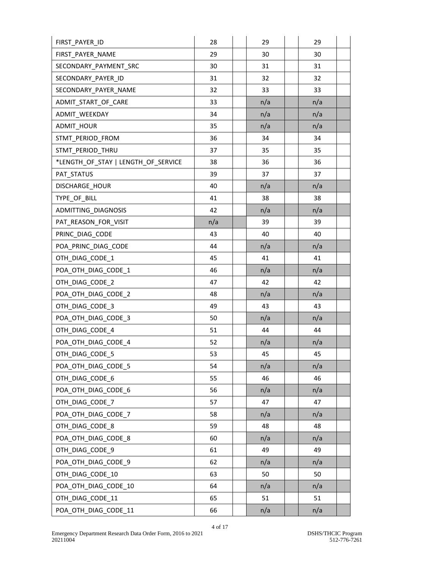| FIRST_PAYER_ID                      | 28  | 29  | 29  |  |
|-------------------------------------|-----|-----|-----|--|
| FIRST PAYER NAME                    | 29  | 30  | 30  |  |
| SECONDARY_PAYMENT_SRC               | 30  | 31  | 31  |  |
| SECONDARY_PAYER_ID                  | 31  | 32  | 32  |  |
| SECONDARY_PAYER_NAME                | 32  | 33  | 33  |  |
| ADMIT_START_OF_CARE                 | 33  | n/a | n/a |  |
| ADMIT_WEEKDAY                       | 34  | n/a | n/a |  |
| ADMIT_HOUR                          | 35  | n/a | n/a |  |
| STMT PERIOD FROM                    | 36  | 34  | 34  |  |
| STMT_PERIOD_THRU                    | 37  | 35  | 35  |  |
| *LENGTH_OF_STAY   LENGTH_OF_SERVICE | 38  | 36  | 36  |  |
| PAT_STATUS                          | 39  | 37  | 37  |  |
| DISCHARGE_HOUR                      | 40  | n/a | n/a |  |
| TYPE_OF_BILL                        | 41  | 38  | 38  |  |
| ADMITTING DIAGNOSIS                 | 42  | n/a | n/a |  |
| PAT_REASON_FOR_VISIT                | n/a | 39  | 39  |  |
| PRINC_DIAG_CODE                     | 43  | 40  | 40  |  |
| POA_PRINC_DIAG_CODE                 | 44  | n/a | n/a |  |
| OTH DIAG CODE 1                     | 45  | 41  | 41  |  |
| POA OTH DIAG CODE 1                 | 46  | n/a | n/a |  |
| OTH_DIAG_CODE_2                     | 47  | 42  | 42  |  |
| POA_OTH_DIAG_CODE_2                 | 48  | n/a | n/a |  |
| OTH DIAG CODE 3                     | 49  | 43  | 43  |  |
| POA OTH DIAG CODE 3                 | 50  | n/a | n/a |  |
| OTH_DIAG_CODE_4                     | 51  | 44  | 44  |  |
| POA_OTH_DIAG_CODE_4                 | 52  | n/a | n/a |  |
| OTH_DIAG_CODE_5                     | 53  | 45  | 45  |  |
| POA_OTH_DIAG_CODE_5                 | 54  | n/a | n/a |  |
| OTH DIAG CODE 6                     | 55  | 46  | 46  |  |
| POA_OTH_DIAG_CODE_6                 | 56  | n/a | n/a |  |
| OTH_DIAG_CODE_7                     | 57  | 47  | 47  |  |
| POA OTH DIAG CODE 7                 | 58  | n/a | n/a |  |
| OTH DIAG CODE 8                     | 59  | 48  | 48  |  |
| POA_OTH_DIAG_CODE_8                 | 60  | n/a | n/a |  |
| OTH_DIAG_CODE_9                     | 61  | 49  | 49  |  |
| POA_OTH_DIAG_CODE_9                 | 62  | n/a | n/a |  |
| OTH DIAG CODE 10                    | 63  | 50  | 50  |  |
| POA_OTH_DIAG_CODE_10                | 64  | n/a | n/a |  |
| OTH_DIAG_CODE_11                    | 65  | 51  | 51  |  |
| POA_OTH_DIAG_CODE_11                | 66  | n/a | n/a |  |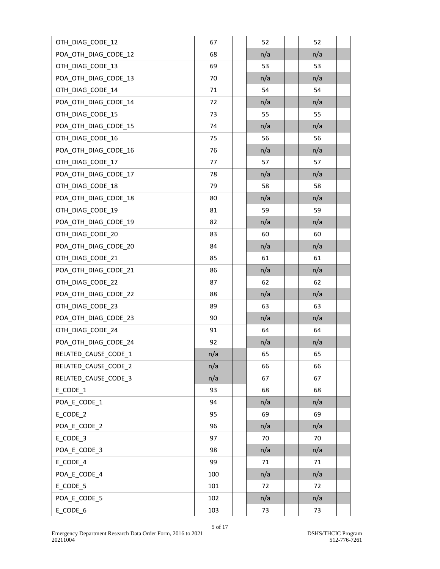| OTH_DIAG_CODE_12     | 67  | 52  | 52  |
|----------------------|-----|-----|-----|
| POA_OTH_DIAG_CODE_12 | 68  | n/a | n/a |
| OTH_DIAG_CODE_13     | 69  | 53  | 53  |
| POA_OTH_DIAG_CODE_13 | 70  | n/a | n/a |
| OTH_DIAG_CODE_14     | 71  | 54  | 54  |
| POA OTH DIAG CODE 14 | 72  | n/a | n/a |
| OTH_DIAG_CODE_15     | 73  | 55  | 55  |
| POA_OTH_DIAG_CODE_15 | 74  | n/a | n/a |
| OTH_DIAG_CODE_16     | 75  | 56  | 56  |
| POA_OTH_DIAG_CODE_16 | 76  | n/a | n/a |
| OTH_DIAG_CODE_17     | 77  | 57  | 57  |
| POA_OTH_DIAG_CODE_17 | 78  | n/a | n/a |
| OTH_DIAG_CODE_18     | 79  | 58  | 58  |
| POA_OTH_DIAG_CODE_18 | 80  | n/a | n/a |
| OTH_DIAG_CODE_19     | 81  | 59  | 59  |
| POA_OTH_DIAG_CODE_19 | 82  | n/a | n/a |
| OTH DIAG CODE 20     | 83  | 60  | 60  |
| POA_OTH_DIAG_CODE_20 | 84  | n/a | n/a |
| OTH_DIAG_CODE_21     | 85  | 61  | 61  |
| POA_OTH_DIAG_CODE_21 | 86  | n/a | n/a |
| OTH_DIAG_CODE_22     | 87  | 62  | 62  |
| POA_OTH_DIAG_CODE_22 | 88  | n/a | n/a |
| OTH_DIAG_CODE_23     | 89  | 63  | 63  |
| POA OTH DIAG CODE 23 | 90  | n/a | n/a |
| OTH_DIAG_CODE_24     | 91  | 64  | 64  |
| POA_OTH_DIAG_CODE_24 | 92  | n/a | n/a |
| RELATED_CAUSE_CODE_1 | n/a | 65  | 65  |
| RELATED CAUSE CODE 2 | n/a | 66  | 66  |
| RELATED CAUSE CODE 3 | n/a | 67  | 67  |
| E_CODE_1             | 93  | 68  | 68  |
| POA_E_CODE_1         | 94  | n/a | n/a |
| E CODE 2             | 95  | 69  | 69  |
| POA E CODE 2         | 96  | n/a | n/a |
| E_CODE_3             | 97  | 70  | 70  |
| POA_E_CODE_3         | 98  | n/a | n/a |
| E_CODE_4             | 99  | 71  | 71  |
| POA_E_CODE_4         | 100 | n/a | n/a |
| E_CODE_5             | 101 | 72  | 72  |
| POA_E_CODE_5         | 102 | n/a | n/a |
| E_CODE_6             | 103 | 73  | 73  |

5 of 17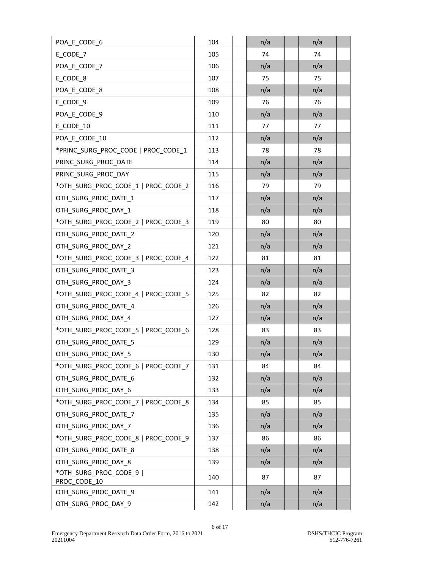| POA_E_CODE_6                            | 104 | n/a | n/a |
|-----------------------------------------|-----|-----|-----|
| E CODE 7                                | 105 | 74  | 74  |
| POA_E_CODE_7                            | 106 | n/a | n/a |
| E_CODE_8                                | 107 | 75  | 75  |
| POA_E_CODE_8                            | 108 | n/a | n/a |
| E CODE 9                                | 109 | 76  | 76  |
| POA_E_CODE_9                            | 110 | n/a | n/a |
| E_CODE_10                               | 111 | 77  | 77  |
| POA E CODE 10                           | 112 | n/a | n/a |
| *PRINC SURG_PROC_CODE   PROC_CODE_1     | 113 | 78  | 78  |
| PRINC_SURG_PROC_DATE                    | 114 | n/a | n/a |
| PRINC SURG PROC DAY                     | 115 | n/a | n/a |
| *OTH_SURG_PROC_CODE_1   PROC_CODE_2     | 116 | 79  | 79  |
| OTH SURG PROC DATE 1                    | 117 | n/a | n/a |
| OTH_SURG_PROC_DAY_1                     | 118 | n/a | n/a |
| *OTH_SURG_PROC_CODE_2   PROC_CODE_3     | 119 | 80  | 80  |
| OTH_SURG_PROC_DATE_2                    | 120 | n/a | n/a |
| OTH_SURG_PROC_DAY_2                     | 121 | n/a | n/a |
| *OTH_SURG_PROC_CODE_3   PROC_CODE_4     | 122 | 81  | 81  |
| OTH_SURG_PROC_DATE_3                    | 123 | n/a | n/a |
| OTH_SURG_PROC_DAY_3                     | 124 | n/a | n/a |
| *OTH_SURG_PROC_CODE_4   PROC_CODE_5     | 125 | 82  | 82  |
| OTH_SURG_PROC_DATE_4                    | 126 | n/a | n/a |
| OTH SURG PROC DAY 4                     | 127 | n/a | n/a |
| *OTH_SURG_PROC_CODE_5   PROC_CODE_6     | 128 | 83  | 83  |
| OTH_SURG_PROC_DATE_5                    | 129 | n/a | n/a |
| OTH_SURG_PROC_DAY_5                     | 130 | n/a | n/a |
| *OTH SURG PROC CODE 6   PROC CODE 7     | 131 | 84  | 84  |
| OTH_SURG_PROC_DATE_6                    | 132 | n/a | n/a |
| OTH_SURG_PROC_DAY_6                     | 133 | n/a | n/a |
| *OTH_SURG_PROC_CODE_7   PROC_CODE_8     | 134 | 85  | 85  |
| OTH SURG PROC DATE 7                    | 135 | n/a | n/a |
| OTH SURG PROC DAY 7                     | 136 | n/a | n/a |
| *OTH_SURG_PROC_CODE_8   PROC_CODE_9     | 137 | 86  | 86  |
| OTH SURG PROC DATE 8                    | 138 | n/a | n/a |
| OTH_SURG_PROC_DAY_8                     | 139 | n/a | n/a |
| *OTH_SURG_PROC_CODE_9  <br>PROC_CODE_10 | 140 | 87  | 87  |
| OTH_SURG_PROC_DATE_9                    | 141 | n/a | n/a |
| OTH_SURG_PROC_DAY_9                     | 142 | n/a | n/a |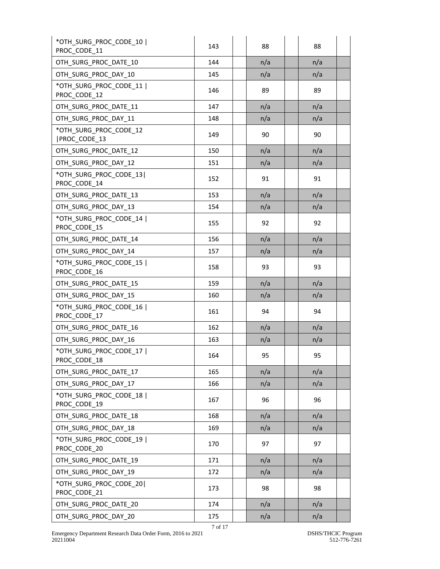| *OTH SURG_PROC_CODE_10  <br>PROC_CODE_11 | 143     | 88  | 88  |
|------------------------------------------|---------|-----|-----|
| OTH_SURG_PROC_DATE_10                    | 144     | n/a | n/a |
| OTH SURG PROC DAY 10                     | 145     | n/a | n/a |
| *OTH SURG PROC CODE 11  <br>PROC_CODE_12 | 146     | 89  | 89  |
| OTH SURG PROC DATE 11                    | 147     | n/a | n/a |
| OTH SURG_PROC_DAY_11                     | 148     | n/a | n/a |
| *OTH SURG PROC CODE 12<br>PROC_CODE_13   | 149     | 90  | 90  |
| OTH SURG PROC DATE 12                    | 150     | n/a | n/a |
| OTH SURG PROC DAY 12                     | 151     | n/a | n/a |
| *OTH SURG PROC CODE 13 <br>PROC_CODE_14  | 152     | 91  | 91  |
| OTH_SURG_PROC_DATE_13                    | 153     | n/a | n/a |
| OTH SURG PROC DAY 13                     | 154     | n/a | n/a |
| *OTH SURG PROC CODE 14  <br>PROC CODE 15 | 155     | 92  | 92  |
| OTH SURG PROC DATE 14                    | 156     | n/a | n/a |
| OTH_SURG_PROC_DAY_14                     | 157     | n/a | n/a |
| *OTH_SURG_PROC_CODE_15  <br>PROC CODE 16 | 158     | 93  | 93  |
| OTH SURG PROC DATE 15                    | 159     | n/a | n/a |
| OTH_SURG_PROC_DAY_15                     | 160     | n/a | n/a |
| *OTH SURG PROC CODE 16  <br>PROC CODE 17 | 161     | 94  | 94  |
| OTH SURG PROC DATE 16                    | 162     | n/a | n/a |
| OTH SURG PROC DAY 16                     | 163     | n/a | n/a |
| *OTH_SURG_PROC_CODE_17  <br>PROC_CODE_18 | 164     | 95  | 95  |
| OTH SURG PROC DATE 17                    | 165     | n/a | n/a |
| OTH SURG PROC DAY 17                     | 166     | n/a | n/a |
| *OTH_SURG_PROC_CODE_18  <br>PROC_CODE_19 | 167     | 96  | 96  |
| OTH_SURG_PROC_DATE_18                    | 168     | n/a | n/a |
| OTH_SURG_PROC_DAY_18                     | 169     | n/a | n/a |
| *OTH_SURG_PROC_CODE_19  <br>PROC_CODE_20 | 170     | 97  | 97  |
| OTH_SURG_PROC_DATE 19                    | 171     | n/a | n/a |
| OTH_SURG_PROC_DAY_19                     | 172     | n/a | n/a |
| *OTH SURG PROC CODE 20 <br>PROC_CODE_21  | 173     | 98  | 98  |
| OTH_SURG_PROC_DATE_20                    | 174     | n/a | n/a |
| OTH SURG PROC DAY 20                     | 175     | n/a | n/a |
|                                          | 7 of 17 |     |     |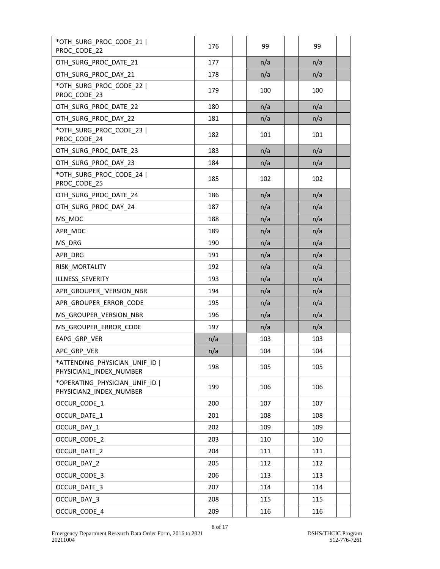| *OTH_SURG_PROC_CODE_21  <br>PROC CODE 22                  | 176 | 99  | 99  |
|-----------------------------------------------------------|-----|-----|-----|
| OTH SURG PROC DATE 21                                     | 177 | n/a | n/a |
| OTH_SURG_PROC_DAY_21                                      | 178 | n/a | n/a |
| *OTH SURG PROC CODE 22  <br>PROC_CODE_23                  | 179 | 100 | 100 |
| OTH_SURG_PROC_DATE_22                                     | 180 | n/a | n/a |
| OTH_SURG_PROC_DAY_22                                      | 181 | n/a | n/a |
| *OTH SURG PROC CODE 23  <br>PROC_CODE_24                  | 182 | 101 | 101 |
| OTH_SURG_PROC_DATE_23                                     | 183 | n/a | n/a |
| OTH_SURG_PROC_DAY_23                                      | 184 | n/a | n/a |
| *OTH SURG PROC CODE 24  <br>PROC_CODE_25                  | 185 | 102 | 102 |
| OTH SURG PROC DATE 24                                     | 186 | n/a | n/a |
| OTH SURG PROC DAY 24                                      | 187 | n/a | n/a |
| MS MDC                                                    | 188 | n/a | n/a |
| APR MDC                                                   | 189 | n/a | n/a |
| MS_DRG                                                    | 190 | n/a | n/a |
| APR DRG                                                   | 191 | n/a | n/a |
| RISK MORTALITY                                            | 192 | n/a | n/a |
| ILLNESS SEVERITY                                          | 193 | n/a | n/a |
| APR_GROUPER_VERSION_NBR                                   | 194 | n/a | n/a |
| APR_GROUPER_ERROR_CODE                                    | 195 | n/a | n/a |
| MS_GROUPER_VERSION_NBR                                    | 196 | n/a | n/a |
| MS_GROUPER_ERROR_CODE                                     | 197 | n/a | n/a |
| EAPG GRP VER                                              | n/a | 103 | 103 |
| APC_GRP_VER                                               | n/a | 104 | 104 |
| *ATTENDING_PHYSICIAN_UNIF_ID  <br>PHYSICIAN1 INDEX NUMBER | 198 | 105 | 105 |
| *OPERATING_PHYSICIAN_UNIF_ID  <br>PHYSICIAN2_INDEX_NUMBER | 199 | 106 | 106 |
| OCCUR CODE 1                                              | 200 | 107 | 107 |
| OCCUR DATE 1                                              | 201 | 108 | 108 |
| OCCUR DAY 1                                               | 202 | 109 | 109 |
| OCCUR CODE 2                                              | 203 | 110 | 110 |
| OCCUR DATE 2                                              | 204 | 111 | 111 |
| OCCUR DAY 2                                               | 205 | 112 | 112 |
| OCCUR CODE 3                                              | 206 | 113 | 113 |
| OCCUR DATE 3                                              | 207 | 114 | 114 |
| OCCUR DAY 3                                               | 208 | 115 | 115 |
| OCCUR CODE 4                                              | 209 | 116 | 116 |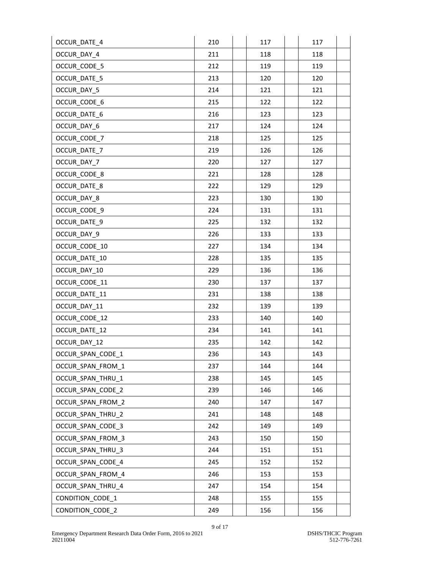| OCCUR_DATE_4        | 210 | 117 | 117 |
|---------------------|-----|-----|-----|
| OCCUR DAY 4         | 211 | 118 | 118 |
| OCCUR_CODE_5        | 212 | 119 | 119 |
| <b>OCCUR DATE 5</b> | 213 | 120 | 120 |
| OCCUR_DAY_5         | 214 | 121 | 121 |
| OCCUR CODE 6        | 215 | 122 | 122 |
| OCCUR_DATE_6        | 216 | 123 | 123 |
| OCCUR DAY 6         | 217 | 124 | 124 |
| OCCUR CODE 7        | 218 | 125 | 125 |
| OCCUR_DATE_7        | 219 | 126 | 126 |
| OCCUR_DAY_7         | 220 | 127 | 127 |
| OCCUR CODE 8        | 221 | 128 | 128 |
| OCCUR DATE 8        | 222 | 129 | 129 |
| OCCUR DAY 8         | 223 | 130 | 130 |
| OCCUR_CODE_9        | 224 | 131 | 131 |
| OCCUR_DATE 9        | 225 | 132 | 132 |
| OCCUR_DAY_9         | 226 | 133 | 133 |
| OCCUR_CODE_10       | 227 | 134 | 134 |
| OCCUR DATE 10       | 228 | 135 | 135 |
| OCCUR DAY 10        | 229 | 136 | 136 |
| OCCUR_CODE_11       | 230 | 137 | 137 |
| OCCUR_DATE_11       | 231 | 138 | 138 |
| OCCUR_DAY_11        | 232 | 139 | 139 |
| OCCUR CODE 12       | 233 | 140 | 140 |
| OCCUR DATE 12       | 234 | 141 | 141 |
| OCCUR_DAY_12        | 235 | 142 | 142 |
| OCCUR_SPAN_CODE_1   | 236 | 143 | 143 |
| OCCUR_SPAN_FROM_1   | 237 | 144 | 144 |
| OCCUR_SPAN_THRU_1   | 238 | 145 | 145 |
| OCCUR_SPAN_CODE_2   | 239 | 146 | 146 |
| OCCUR_SPAN_FROM_2   | 240 | 147 | 147 |
| OCCUR SPAN THRU 2   | 241 | 148 | 148 |
| OCCUR SPAN CODE 3   | 242 | 149 | 149 |
| OCCUR_SPAN_FROM_3   | 243 | 150 | 150 |
| OCCUR_SPAN_THRU_3   | 244 | 151 | 151 |
| OCCUR_SPAN_CODE_4   | 245 | 152 | 152 |
| OCCUR_SPAN_FROM_4   | 246 | 153 | 153 |
| OCCUR_SPAN_THRU_4   | 247 | 154 | 154 |
| CONDITION_CODE_1    | 248 | 155 | 155 |
| CONDITION_CODE_2    | 249 | 156 | 156 |
|                     |     |     |     |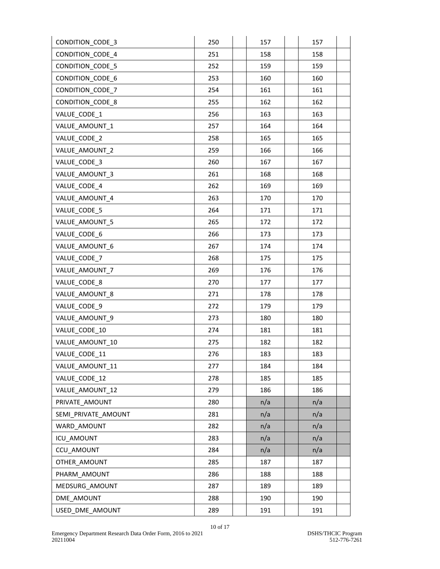| CONDITION_CODE_3        | 250 | 157 | 157 |
|-------------------------|-----|-----|-----|
| <b>CONDITION CODE 4</b> | 251 | 158 | 158 |
| CONDITION_CODE_5        | 252 | 159 | 159 |
| CONDITION_CODE_6        | 253 | 160 | 160 |
| CONDITION_CODE_7        | 254 | 161 | 161 |
| <b>CONDITION CODE 8</b> | 255 | 162 | 162 |
| VALUE_CODE_1            | 256 | 163 | 163 |
| VALUE AMOUNT 1          | 257 | 164 | 164 |
| VALUE CODE 2            | 258 | 165 | 165 |
| VALUE AMOUNT 2          | 259 | 166 | 166 |
| VALUE CODE 3            | 260 | 167 | 167 |
| VALUE AMOUNT 3          | 261 | 168 | 168 |
| VALUE CODE 4            | 262 | 169 | 169 |
| VALUE AMOUNT 4          | 263 | 170 | 170 |
| VALUE CODE 5            | 264 | 171 | 171 |
| VALUE AMOUNT 5          | 265 | 172 | 172 |
| VALUE_CODE_6            | 266 | 173 | 173 |
| VALUE_AMOUNT_6          | 267 | 174 | 174 |
| VALUE CODE 7            | 268 | 175 | 175 |
| VALUE AMOUNT 7          | 269 | 176 | 176 |
| VALUE CODE 8            | 270 | 177 | 177 |
| VALUE_AMOUNT_8          | 271 | 178 | 178 |
| VALUE_CODE_9            | 272 | 179 | 179 |
| VALUE AMOUNT 9          | 273 | 180 | 180 |
| VALUE_CODE_10           | 274 | 181 | 181 |
| VALUE_AMOUNT_10         | 275 | 182 | 182 |
| VALUE_CODE_11           | 276 | 183 | 183 |
| VALUE AMOUNT 11         | 277 | 184 | 184 |
| VALUE CODE 12           | 278 | 185 | 185 |
| VALUE_AMOUNT_12         | 279 | 186 | 186 |
| PRIVATE AMOUNT          | 280 | n/a | n/a |
| SEMI_PRIVATE_AMOUNT     | 281 | n/a | n/a |
| WARD AMOUNT             | 282 | n/a | n/a |
| ICU_AMOUNT              | 283 | n/a | n/a |
| CCU AMOUNT              | 284 | n/a | n/a |
| OTHER_AMOUNT            | 285 | 187 | 187 |
| PHARM_AMOUNT            | 286 | 188 | 188 |
| MEDSURG AMOUNT          | 287 | 189 | 189 |
| DME AMOUNT              | 288 | 190 | 190 |
| USED_DME_AMOUNT         | 289 | 191 | 191 |
|                         |     |     |     |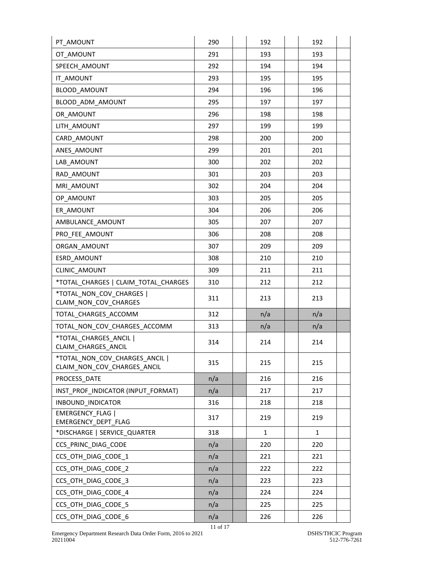| PT AMOUNT                                                     | 290 | 192          | 192          |
|---------------------------------------------------------------|-----|--------------|--------------|
| OT AMOUNT                                                     | 291 | 193          | 193          |
| SPEECH AMOUNT                                                 | 292 | 194          | 194          |
| IT AMOUNT                                                     | 293 | 195          | 195          |
| <b>BLOOD AMOUNT</b>                                           | 294 | 196          | 196          |
| BLOOD ADM AMOUNT                                              | 295 | 197          | 197          |
| OR AMOUNT                                                     | 296 | 198          | 198          |
| LITH AMOUNT                                                   | 297 | 199          | 199          |
| CARD AMOUNT                                                   | 298 | 200          | 200          |
| ANES AMOUNT                                                   | 299 | 201          | 201          |
| LAB AMOUNT                                                    | 300 | 202          | 202          |
| RAD AMOUNT                                                    | 301 | 203          | 203          |
| MRI AMOUNT                                                    | 302 | 204          | 204          |
| OP AMOUNT                                                     | 303 | 205          | 205          |
| ER AMOUNT                                                     | 304 | 206          | 206          |
| AMBULANCE AMOUNT                                              | 305 | 207          | 207          |
| PRO FEE AMOUNT                                                | 306 | 208          | 208          |
| ORGAN AMOUNT                                                  | 307 | 209          | 209          |
| ESRD AMOUNT                                                   | 308 | 210          | 210          |
| <b>CLINIC AMOUNT</b>                                          | 309 | 211          | 211          |
| *TOTAL CHARGES   CLAIM TOTAL CHARGES                          | 310 | 212          | 212          |
| *TOTAL NON COV CHARGES  <br>CLAIM_NON_COV_CHARGES             | 311 | 213          | 213          |
| TOTAL CHARGES ACCOMM                                          | 312 | n/a          | n/a          |
| TOTAL NON COV CHARGES ACCOMM                                  | 313 | n/a          | n/a          |
| *TOTAL CHARGES ANCIL  <br>CLAIM_CHARGES_ANCIL                 | 314 | 214          | 214          |
| *TOTAL NON COV CHARGES ANCIL  <br>CLAIM_NON_COV_CHARGES_ANCIL | 315 | 215          | 215          |
| PROCESS_DATE                                                  | n/a | 216          | 216          |
| INST PROF INDICATOR (INPUT FORMAT)                            | n/a | 217          | 217          |
| INBOUND INDICATOR                                             | 316 | 218          | 218          |
| <b>EMERGENCY FLAG  </b><br>EMERGENCY_DEPT_FLAG                | 317 | 219          | 219          |
| *DISCHARGE   SERVICE_QUARTER                                  | 318 | $\mathbf{1}$ | $\mathbf{1}$ |
| CCS_PRINC_DIAG_CODE                                           | n/a | 220          | 220          |
| CCS_OTH_DIAG_CODE_1                                           | n/a | 221          | 221          |
| CCS OTH DIAG CODE 2                                           | n/a | 222          | 222          |
| CCS_OTH_DIAG_CODE_3                                           | n/a | 223          | 223          |
| CCS_OTH_DIAG_CODE_4                                           | n/a | 224          | 224          |
| CCS OTH DIAG CODE 5                                           | n/a | 225          | 225          |
| CCS OTH DIAG CODE 6                                           | n/a | 226          | 226          |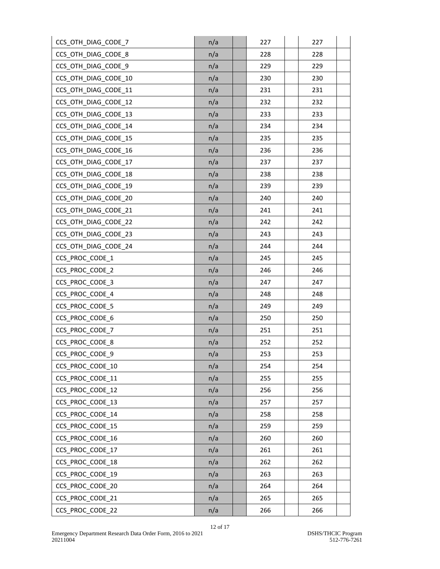| CCS OTH_DIAG_CODE_7  | n/a | 227 | 227 |
|----------------------|-----|-----|-----|
| CCS_OTH_DIAG_CODE_8  | n/a | 228 | 228 |
| CCS_OTH_DIAG_CODE_9  | n/a | 229 | 229 |
| CCS_OTH_DIAG_CODE_10 | n/a | 230 | 230 |
| CCS_OTH_DIAG_CODE_11 | n/a | 231 | 231 |
| CCS OTH DIAG CODE 12 | n/a | 232 | 232 |
| CCS_OTH_DIAG_CODE_13 | n/a | 233 | 233 |
| CCS_OTH_DIAG_CODE_14 | n/a | 234 | 234 |
| CCS OTH DIAG CODE 15 | n/a | 235 | 235 |
| CCS OTH DIAG CODE 16 | n/a | 236 | 236 |
| CCS_OTH_DIAG_CODE_17 | n/a | 237 | 237 |
| CCS_OTH_DIAG_CODE_18 | n/a | 238 | 238 |
| CCS OTH DIAG CODE 19 | n/a | 239 | 239 |
| CCS_OTH_DIAG_CODE_20 | n/a | 240 | 240 |
| CCS OTH DIAG CODE 21 | n/a | 241 | 241 |
| CCS_OTH_DIAG_CODE_22 | n/a | 242 | 242 |
| CCS_OTH_DIAG_CODE_23 | n/a | 243 | 243 |
| CCS_OTH_DIAG_CODE_24 | n/a | 244 | 244 |
| CCS PROC CODE 1      | n/a | 245 | 245 |
| CCS_PROC_CODE_2      | n/a | 246 | 246 |
| CCS_PROC_CODE_3      | n/a | 247 | 247 |
| CCS PROC CODE 4      | n/a | 248 | 248 |
| CCS_PROC_CODE_5      | n/a | 249 | 249 |
| CCS_PROC_CODE_6      | n/a | 250 | 250 |
| CCS PROC CODE 7      | n/a | 251 | 251 |
| CCS PROC CODE 8      | n/a | 252 | 252 |
| CCS_PROC_CODE_9      | n/a | 253 | 253 |
| CCS PROC CODE 10     | n/a | 254 | 254 |
| CCS_PROC_CODE_11     | n/a | 255 | 255 |
| CCS_PROC_CODE_12     | n/a | 256 | 256 |
| CCS PROC CODE 13     | n/a | 257 | 257 |
| CCS_PROC_CODE_14     | n/a | 258 | 258 |
| CCS PROC CODE 15     | n/a | 259 | 259 |
| CCS_PROC_CODE_16     | n/a | 260 | 260 |
| CCS PROC CODE 17     | n/a | 261 | 261 |
| CCS_PROC_CODE_18     | n/a | 262 | 262 |
| CCS_PROC_CODE_19     | n/a | 263 | 263 |
| CCS_PROC_CODE_20     | n/a | 264 | 264 |
| CCS_PROC_CODE_21     | n/a | 265 | 265 |
| CCS_PROC_CODE_22     | n/a | 266 | 266 |
|                      |     |     |     |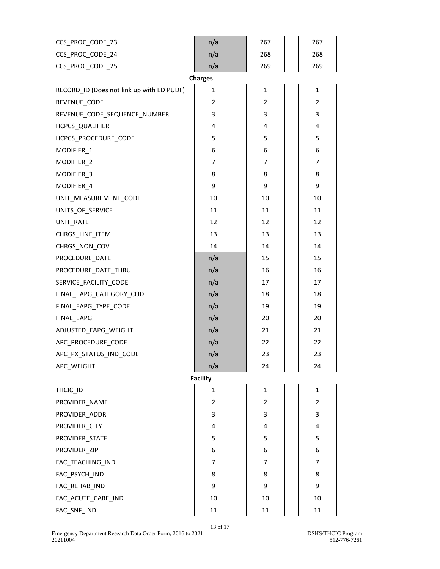| CCS_PROC_CODE_23                          | n/a            |  | 267                     |  | 267                     |  |  |
|-------------------------------------------|----------------|--|-------------------------|--|-------------------------|--|--|
| CCS PROC CODE 24                          | n/a            |  | 268                     |  | 268                     |  |  |
| CCS_PROC_CODE_25                          | n/a            |  | 269                     |  | 269                     |  |  |
| <b>Charges</b>                            |                |  |                         |  |                         |  |  |
| RECORD_ID (Does not link up with ED PUDF) | $\mathbf{1}$   |  | $\mathbf{1}$            |  | $\mathbf{1}$            |  |  |
| REVENUE_CODE                              | $\overline{2}$ |  | $\overline{2}$          |  | 2                       |  |  |
| REVENUE_CODE_SEQUENCE_NUMBER              | 3              |  | 3                       |  | 3                       |  |  |
| HCPCS_QUALIFIER                           | 4              |  | 4                       |  | 4                       |  |  |
| HCPCS_PROCEDURE_CODE                      | 5              |  | 5                       |  | 5                       |  |  |
| MODIFIER_1                                | 6              |  | 6                       |  | 6                       |  |  |
| MODIFIER_2                                | $\overline{7}$ |  | 7                       |  | $\overline{7}$          |  |  |
| MODIFIER_3                                | 8              |  | 8                       |  | 8                       |  |  |
| MODIFIER 4                                | 9              |  | 9                       |  | 9                       |  |  |
| UNIT MEASUREMENT CODE                     | 10             |  | 10                      |  | 10                      |  |  |
| UNITS_OF_SERVICE                          | 11             |  | 11                      |  | 11                      |  |  |
| UNIT_RATE                                 | 12             |  | 12                      |  | 12                      |  |  |
| CHRGS_LINE_ITEM                           | 13             |  | 13                      |  | 13                      |  |  |
| CHRGS_NON_COV                             | 14             |  | 14                      |  | 14                      |  |  |
| PROCEDURE_DATE                            | n/a            |  | 15                      |  | 15                      |  |  |
| PROCEDURE_DATE_THRU                       | n/a            |  | 16                      |  | 16                      |  |  |
| SERVICE_FACILITY_CODE                     | n/a            |  | 17                      |  | 17                      |  |  |
| FINAL_EAPG_CATEGORY_CODE                  | n/a            |  | 18                      |  | 18                      |  |  |
| FINAL_EAPG_TYPE_CODE                      | n/a            |  | 19                      |  | 19                      |  |  |
| FINAL EAPG                                | n/a            |  | 20                      |  | 20                      |  |  |
| ADJUSTED_EAPG_WEIGHT                      | n/a            |  | 21                      |  | 21                      |  |  |
| APC_PROCEDURE_CODE                        | n/a            |  | 22                      |  | 22                      |  |  |
| APC PX STATUS IND CODE                    | n/a            |  | 23                      |  | 23                      |  |  |
| APC WEIGHT                                | n/a            |  | 24                      |  | 24                      |  |  |
| <b>Facility</b>                           |                |  |                         |  |                         |  |  |
| THCIC_ID                                  | $\mathbf{1}$   |  | $\mathbf{1}$            |  | $\mathbf{1}$            |  |  |
| PROVIDER_NAME                             | $\overline{2}$ |  | $\overline{2}$          |  | $\overline{2}$          |  |  |
| PROVIDER_ADDR                             | 3              |  | 3                       |  | 3                       |  |  |
| PROVIDER CITY                             | 4              |  | $\overline{\mathbf{4}}$ |  | $\overline{\mathbf{4}}$ |  |  |
| PROVIDER_STATE                            | 5              |  | 5                       |  | 5                       |  |  |
| PROVIDER ZIP                              | 6              |  | 6                       |  | 6                       |  |  |
| FAC_TEACHING_IND                          | $\overline{7}$ |  | 7                       |  | $\overline{7}$          |  |  |
| FAC_PSYCH_IND                             | 8              |  | 8                       |  | 8                       |  |  |
| FAC_REHAB_IND                             | 9              |  | 9                       |  | 9                       |  |  |
| FAC ACUTE CARE IND                        | 10             |  | 10                      |  | 10                      |  |  |
| FAC_SNF_IND                               | 11             |  | 11                      |  | 11                      |  |  |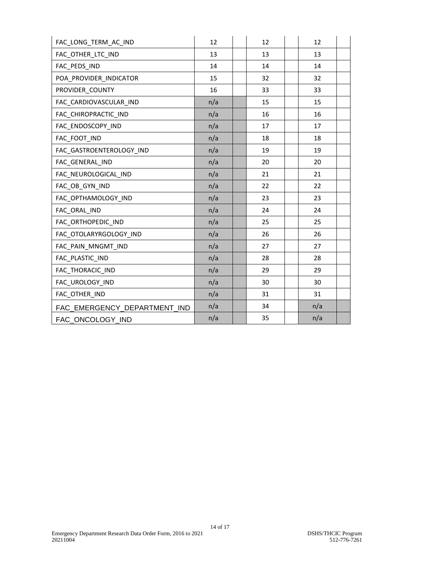| FAC LONG TERM AC IND         | 12  | 12 | 12  |  |
|------------------------------|-----|----|-----|--|
| FAC OTHER LTC IND            | 13  | 13 | 13  |  |
| FAC PEDS IND                 | 14  | 14 | 14  |  |
| POA_PROVIDER_INDICATOR       | 15  | 32 | 32  |  |
| PROVIDER COUNTY              | 16  | 33 | 33  |  |
| FAC_CARDIOVASCULAR_IND       | n/a | 15 | 15  |  |
| FAC CHIROPRACTIC IND         | n/a | 16 | 16  |  |
| FAC_ENDOSCOPY_IND            | n/a | 17 | 17  |  |
| FAC FOOT IND                 | n/a | 18 | 18  |  |
| FAC GASTROENTEROLOGY IND     | n/a | 19 | 19  |  |
| FAC GENERAL IND              | n/a | 20 | 20  |  |
| FAC NEUROLOGICAL IND         | n/a | 21 | 21  |  |
| FAC_OB_GYN_IND               | n/a | 22 | 22  |  |
| FAC OPTHAMOLOGY_IND          | n/a | 23 | 23  |  |
| FAC_ORAL_IND                 | n/a | 24 | 24  |  |
| FAC ORTHOPEDIC_IND           | n/a | 25 | 25  |  |
| FAC OTOLARYRGOLOGY IND       | n/a | 26 | 26  |  |
| FAC PAIN MNGMT IND           | n/a | 27 | 27  |  |
| FAC PLASTIC IND              | n/a | 28 | 28  |  |
| FAC_THORACIC_IND             | n/a | 29 | 29  |  |
| FAC_UROLOGY_IND              | n/a | 30 | 30  |  |
| FAC_OTHER_IND                | n/a | 31 | 31  |  |
| FAC_EMERGENCY_DEPARTMENT_IND | n/a | 34 | n/a |  |
| FAC_ONCOLOGY_IND             | n/a | 35 | n/a |  |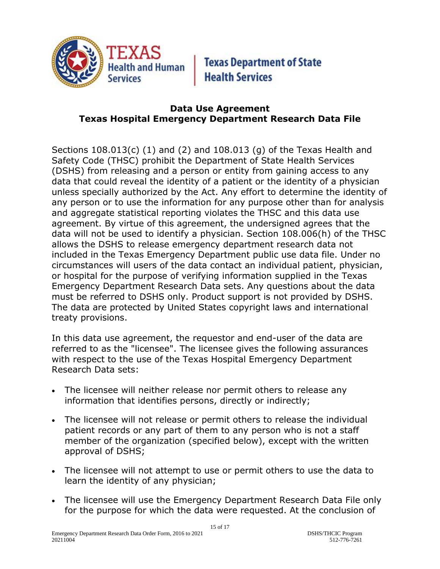

**Texas Department of State Health Services** 

### **Data Use Agreement Texas Hospital Emergency Department Research Data File**

Sections 108.013(c) (1) and (2) and 108.013 (g) of the Texas Health and Safety Code (THSC) prohibit the Department of State Health Services (DSHS) from releasing and a person or entity from gaining access to any data that could reveal the identity of a patient or the identity of a physician unless specially authorized by the Act. Any effort to determine the identity of any person or to use the information for any purpose other than for analysis and aggregate statistical reporting violates the THSC and this data use agreement. By virtue of this agreement, the undersigned agrees that the data will not be used to identify a physician. Section 108.006(h) of the THSC allows the DSHS to release emergency department research data not included in the Texas Emergency Department public use data file. Under no circumstances will users of the data contact an individual patient, physician, or hospital for the purpose of verifying information supplied in the Texas Emergency Department Research Data sets. Any questions about the data must be referred to DSHS only. Product support is not provided by DSHS. The data are protected by United States copyright laws and international treaty provisions.

In this data use agreement, the requestor and end-user of the data are referred to as the "licensee". The licensee gives the following assurances with respect to the use of the Texas Hospital Emergency Department Research Data sets:

- The licensee will neither release nor permit others to release any information that identifies persons, directly or indirectly;
- The licensee will not release or permit others to release the individual patient records or any part of them to any person who is not a staff member of the organization (specified below), except with the written approval of DSHS;
- The licensee will not attempt to use or permit others to use the data to learn the identity of any physician;
- The licensee will use the Emergency Department Research Data File only for the purpose for which the data were requested. At the conclusion of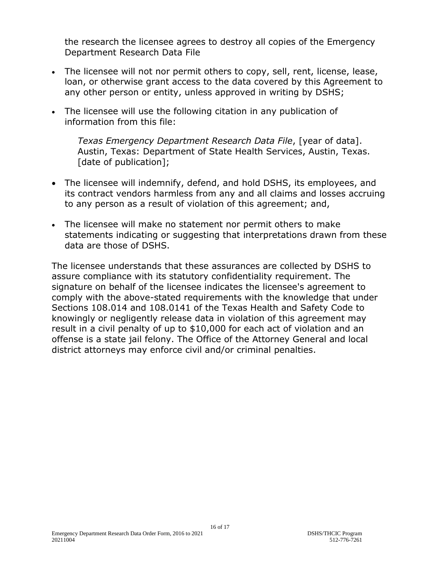the research the licensee agrees to destroy all copies of the Emergency Department Research Data File

- The licensee will not nor permit others to copy, sell, rent, license, lease, loan, or otherwise grant access to the data covered by this Agreement to any other person or entity, unless approved in writing by DSHS;
- The licensee will use the following citation in any publication of information from this file:

*Texas Emergency Department Research Data File*, [year of data]. Austin, Texas: Department of State Health Services, Austin, Texas. [date of publication];

- The licensee will indemnify, defend, and hold DSHS, its employees, and its contract vendors harmless from any and all claims and losses accruing to any person as a result of violation of this agreement; and,
- The licensee will make no statement nor permit others to make statements indicating or suggesting that interpretations drawn from these data are those of DSHS.

The licensee understands that these assurances are collected by DSHS to assure compliance with its statutory confidentiality requirement. The signature on behalf of the licensee indicates the licensee's agreement to comply with the above-stated requirements with the knowledge that under Sections 108.014 and 108.0141 of the Texas Health and Safety Code to knowingly or negligently release data in violation of this agreement may result in a civil penalty of up to \$10,000 for each act of violation and an offense is a state jail felony. The Office of the Attorney General and local district attorneys may enforce civil and/or criminal penalties.

16 of 17